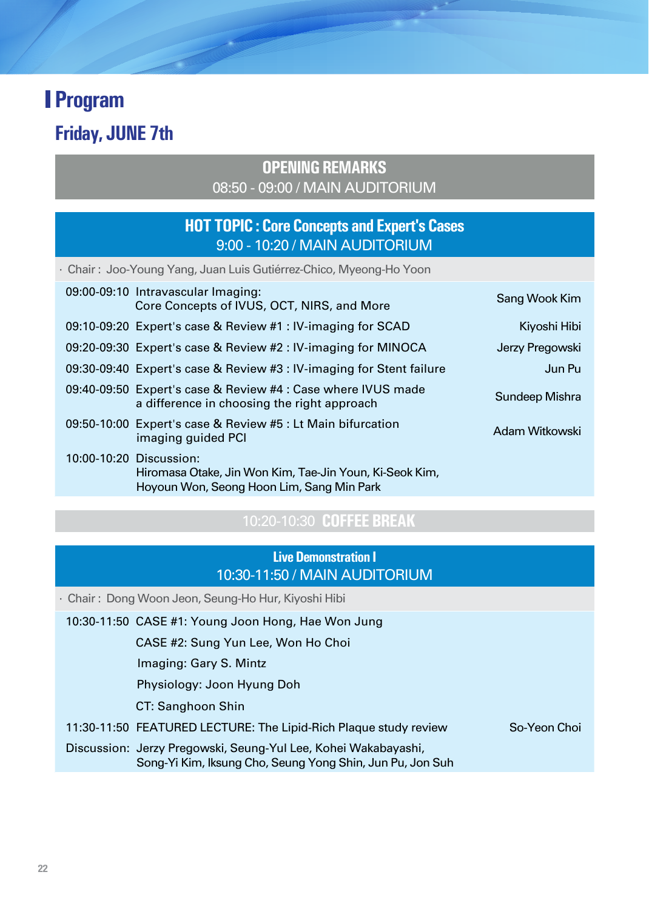**Friday, JUNE 7th**

ä

### **OPENING REMARKS** 08:50 - 09:00 / MAIN AUDITORIUM

### **HOT TOPIC : Core Concepts and Expert's Cases** 9:00 - 10:20 / MAIN AUDITORIUM

| · Chair : Joo-Young Yang, Juan Luis Gutiérrez-Chico, Myeong-Ho Yoon |                                                                                                             |                 |
|---------------------------------------------------------------------|-------------------------------------------------------------------------------------------------------------|-----------------|
|                                                                     | 09:00-09:10 Intravascular Imaging:<br>Core Concepts of IVUS, OCT, NIRS, and More                            | Sang Wook Kim   |
|                                                                     | 09:10-09:20 Expert's case & Review #1: IV-imaging for SCAD                                                  | Kiyoshi Hibi    |
|                                                                     | 09:20-09:30 Expert's case & Review #2: IV-imaging for MINOCA                                                | Jerzy Pregowski |
|                                                                     | 09:30-09:40 Expert's case & Review #3 : IV-imaging for Stent failure                                        | Jun Pu          |
|                                                                     | 09:40-09:50 Expert's case & Review #4 : Case where IVUS made<br>a difference in choosing the right approach | Sundeep Mishra  |
|                                                                     | 09:50-10:00 Expert's case & Review #5 : Lt Main bifurcation<br>imaging quided PCI                           | Adam Witkowski  |
| 10:00-10:20 Discussion:                                             | Hiromasa Otake, Jin Won Kim, Tae-Jin Youn, Ki-Seok Kim,<br>Hoyoun Won, Seong Hoon Lim, Sang Min Park        |                 |

## 10:20-10:30 **COFFEE BREAK**

### **Live Demonstration I**  10:30-11:50 / MAIN AUDITORIUM

· Chair : Dong Woon Jeon, Seung-Ho Hur, Kiyoshi Hibi

|  | 10:30-11:50 CASE #1: Young Joon Hong, Hae Won Jung                                                                          |              |
|--|-----------------------------------------------------------------------------------------------------------------------------|--------------|
|  | CASE #2: Sung Yun Lee, Won Ho Choi                                                                                          |              |
|  | Imaging: Gary S. Mintz                                                                                                      |              |
|  | Physiology: Joon Hyung Doh                                                                                                  |              |
|  | CT: Sanghoon Shin                                                                                                           |              |
|  | 11:30-11:50 FEATURED LECTURE: The Lipid-Rich Plague study review                                                            | So-Yeon Choi |
|  | Discussion: Jerzy Pregowski, Seung-Yul Lee, Kohei Wakabayashi,<br>Song-Yi Kim, Iksung Cho, Seung Yong Shin, Jun Pu, Jon Suh |              |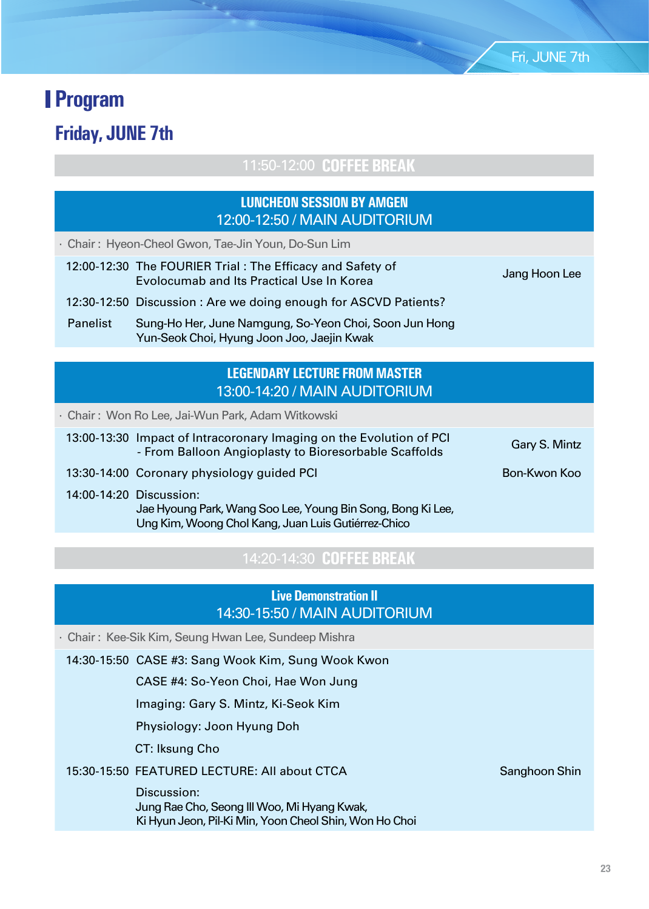**Friday, JUNE 7th**

11:50-12:00 **COFFEE BREAK**

### **LUNCHEON SESSION BY AMGEN** 12:00-12:50 / MAIN AUDITORIUM

· Chair : Hyeon-Cheol Gwon, Tae-Jin Youn, Do-Sun Lim

 12:00-12:30 The FOURIER Trial : The Efficacy and Safety of Evolocumab and Its Practical Use In Korea January 3. Jang Hoon Lee

12:30-12:50 Discussion : Are we doing enough for ASCVD Patients?

 Panelist Sung-Ho Her, June Namgung, So-Yeon Choi, Soon Jun Hong Yun-Seok Choi, Hyung Joon Joo, Jaejin Kwak

#### **LEGENDARY LECTURE FROM MASTER** 13:00-14:20 / MAIN AUDITORIUM

· Chair : Won Ro Lee, Jai-Wun Park, Adam Witkowski

 13:00-13:30 Impact of Intracoronary Imaging on the Evolution of PCI **Exercise Community in agently of the Evolution of Ferrario Gary S. Mintz**<br>- From Balloon Angioplasty to Bioresorbable Scaffolds

13:30-14:00 Coronary physiology guided PCI Bon-Kwon Koo Bon-Kwon Koo

14:00-14:20 Discussion:

 Jae Hyoung Park, Wang Soo Lee, Young Bin Song, Bong Ki Lee, Ung Kim, Woong Chol Kang, Juan Luis Gutiérrez-Chico

### 14:20-14:30 **COFFEE BREAK**

#### **Live Demonstration II** 14:30-15:50 / MAIN AUDITORIUM

· Chair : Kee-Sik Kim, Seung Hwan Lee, Sundeep Mishra

14:30-15:50 CASE #3: Sang Wook Kim, Sung Wook Kwon

CASE #4: So-Yeon Choi, Hae Won Jung

Imaging: Gary S. Mintz, Ki-Seok Kim

Physiology: Joon Hyung Doh

CT: Iksung Cho

#### 15:30-15:50 FEATURED LECTURE: All about CTCA Sanghoon Shin

 Discussion: Jung Rae Cho, Seong Ill Woo, Mi Hyang Kwak, Ki Hyun Jeon, Pil-Ki Min, Yoon Cheol Shin, Won Ho Choi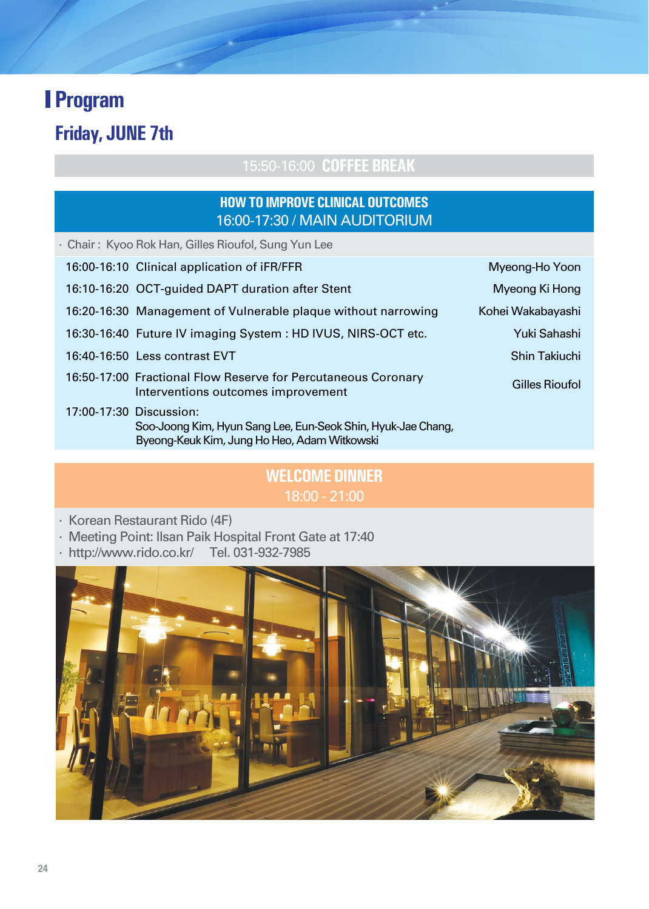## **Friday, JUNE 7th**

### 15:50-16:00 **COFFEE BREAK**

### **HOW TO IMPROVE CLINICAL OUTCOMES** 16:00-17:30 / MAIN AUDITORIUM

· Chair : Kyoo Rok Han, Gilles Rioufol, Sung Yun Lee

| 16:00-16:10 Clinical application of iFR/FFR                                                                                             | Myeong-Ho Yoon    |
|-----------------------------------------------------------------------------------------------------------------------------------------|-------------------|
| 16:10-16:20 OCT-guided DAPT duration after Stent                                                                                        | Myeong Ki Hong    |
| 16:20-16:30 Management of Vulnerable plaque without narrowing                                                                           | Kohei Wakabayashi |
| 16:30-16:40 Future IV imaging System : HD IVUS, NIRS-OCT etc.                                                                           | Yuki Sahashi      |
| 16:40-16:50 Less contrast EVT                                                                                                           | Shin Takiuchi     |
| 16:50-17:00 Fractional Flow Reserve for Percutaneous Coronary<br>Interventions outcomes improvement                                     | Gilles Rioufol    |
| 17:00-17:30 Discussion:<br>Soo-Joong Kim, Hyun Sang Lee, Eun-Seok Shin, Hyuk-Jae Chang,<br>Byeong-Keuk Kim, Jung Ho Heo, Adam Witkowski |                   |
|                                                                                                                                         |                   |

### **WELCOME DINNER** 18:00 - 21:00

- · Korean Restaurant Rido (4F)
- · Meeting Point: Ilsan Paik Hospital Front Gate at 17:40
- · http://www.rido.co.kr/ Tel. 031-932-7985

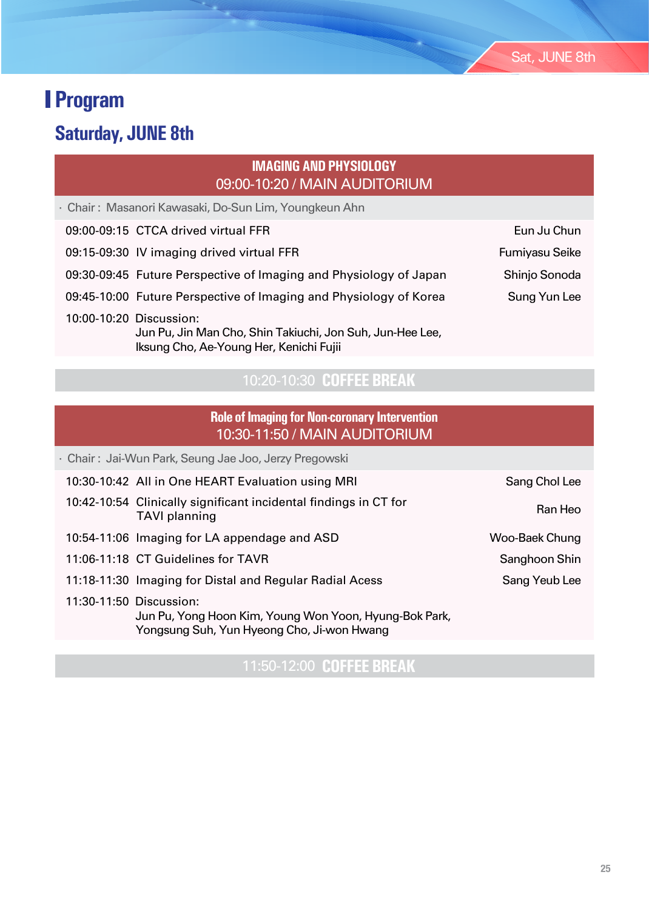# **Saturday, JUNE 8th**

### **IMAGING AND PHYSIOLOGY** 09:00-10:20 / MAIN AUDITORIUM

· Chair : Masanori Kawasaki, Do-Sun Lim, Youngkeun Ahn

Iksung Cho, Ae-Young Her, Kenichi Fujii

| 09:00-09:15 CTCA drived virtual FFR | Eun Ju Chun |
|-------------------------------------|-------------|
|-------------------------------------|-------------|

| 09:15-09:30 IV imaging drived virtual FFR                         | Fumiyasu Seike |
|-------------------------------------------------------------------|----------------|
| 09:30-09:45 Future Perspective of Imaging and Physiology of Japan | Shinjo Sonoda  |
| 09:45-10:00 Future Perspective of Imaging and Physiology of Korea | Sung Yun Lee   |
| 10:00-10:20 Discussion:                                           |                |

10:20-10:30 **COFFEE BREAK**

Jun Pu, Jin Man Cho, Shin Takiuchi, Jon Suh, Jun-Hee Lee,

#### **Role of Imaging for Non-coronary Intervention** 10:30-11:50 / MAIN AUDITORIUM

|                         | · Chair : Jai-Wun Park, Seung Jae Joo, Jerzy Pregowski                                               |                |
|-------------------------|------------------------------------------------------------------------------------------------------|----------------|
|                         | 10:30-10:42 All in One HEART Evaluation using MRI                                                    | Sang Chol Lee  |
|                         | 10:42-10:54 Clinically significant incidental findings in CT for<br><b>TAVI</b> planning             | Ran Heo        |
|                         | 10:54-11:06 Imaging for LA appendage and ASD                                                         | Woo-Baek Chung |
|                         | 11:06-11:18 CT Guidelines for TAVR                                                                   | Sanghoon Shin  |
|                         | 11:18-11:30 Imaging for Distal and Regular Radial Acess                                              | Sang Yeub Lee  |
| 11:30-11:50 Discussion: | Jun Pu, Yong Hoon Kim, Young Won Yoon, Hyung-Bok Park,<br>Yongsung Suh, Yun Hyeong Cho, Ji-won Hwang |                |

11:50-12:00 **COFFEE BREAK**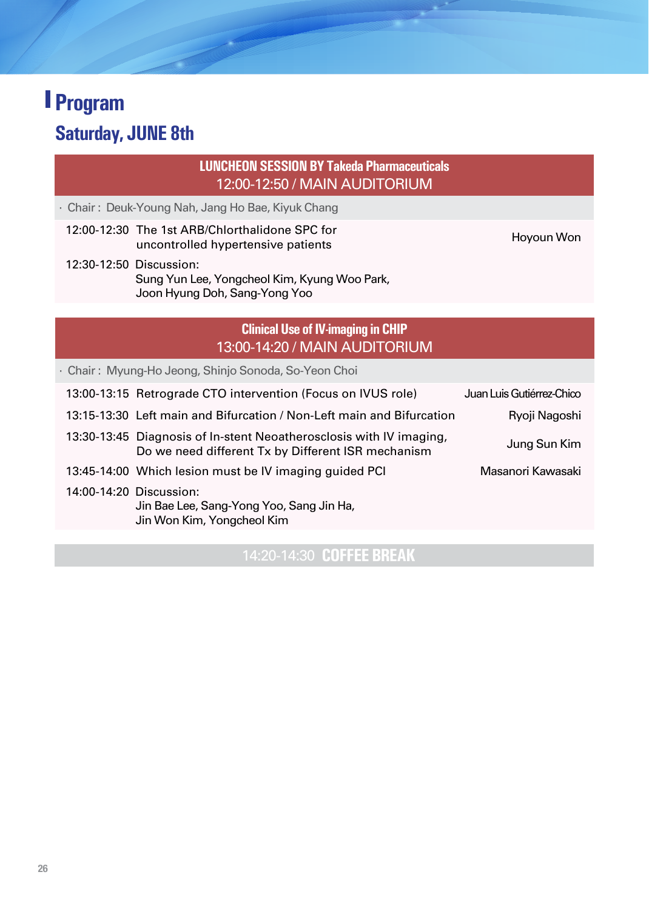## **Saturday, JUNE 8th**

#### **LUNCHEON SESSION BY Takeda Pharmaceuticals**  12:00-12:50 / MAIN AUDITORIUM

- · Chair : Deuk-Young Nah, Jang Ho Bae, Kiyuk Chang
	- 12:00-12:30 The 1st ARB/Chlorthalidone SPC for The Tst Anb/Chiorinalidorie SFC for<br>uncontrolled hypertensive patients Hoyoun Won

 12:30-12:50 Discussion: Sung Yun Lee, Yongcheol Kim, Kyung Woo Park, Joon Hyung Doh, Sang-Yong Yoo

### **Clinical Use of IV-imaging in CHIP** 13:00-14:20 / MAIN AUDITORIUM

· Chair : Myung-Ho Jeong, Shinjo Sonoda, So-Yeon Choi

|  | 13:00-13:15 Retrograde CTO intervention (Focus on IVUS role)                                                              | Juan Luis Gutiérrez-Chico |
|--|---------------------------------------------------------------------------------------------------------------------------|---------------------------|
|  | 13:15-13:30 Left main and Bifurcation / Non-Left main and Bifurcation                                                     | Ryoji Nagoshi             |
|  | 13:30-13:45 Diagnosis of In-stent Neoatherosclosis with IV imaging,<br>Do we need different Tx by Different ISR mechanism | Jung Sun Kim              |
|  | 13:45-14:00 Which lesion must be IV imaging guided PCI                                                                    | Masanori Kawasaki         |
|  | 14:00-14:20 Discussion:<br>Jin Bae Lee, Sang-Yong Yoo, Sang Jin Ha,<br>Jin Won Kim, Yongcheol Kim                         |                           |

14:20-14:30 **COFFEE BREAK**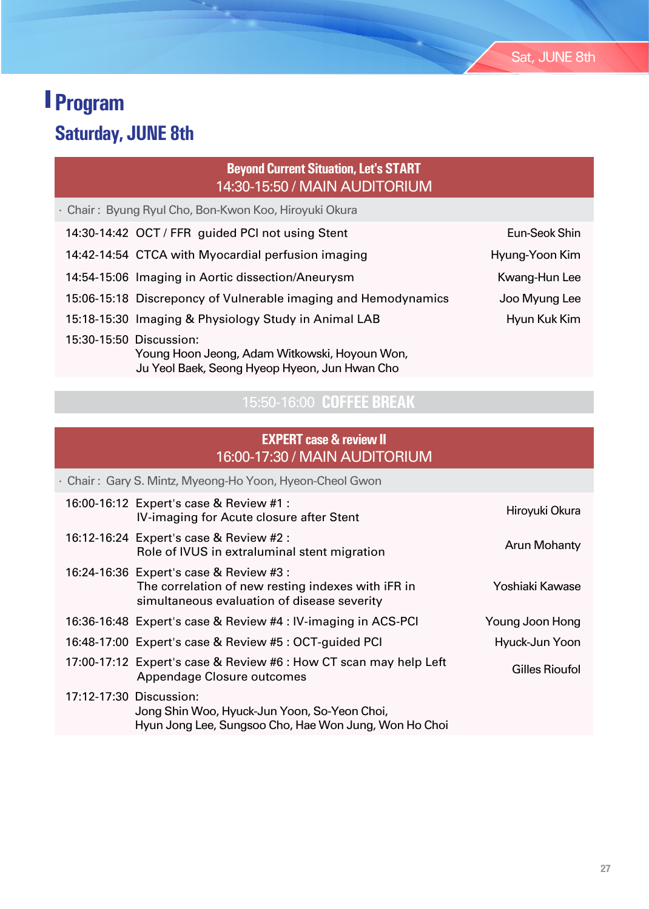## **Saturday, JUNE 8th**

### **Beyond Current Situation, Let's START** 14:30-15:50 / MAIN AUDITORIUM

· Chair : Byung Ryul Cho, Bon-Kwon Koo, Hiroyuki Okura

|                         | 14:30-14:42 OCT / FFR guided PCI not using Stent                                               | Eun-Seok Shin  |
|-------------------------|------------------------------------------------------------------------------------------------|----------------|
|                         | 14:42-14:54 CTCA with Myocardial perfusion imaging                                             | Hyung-Yoon Kim |
|                         | 14:54-15:06 Imaging in Aortic dissection/Aneurysm                                              | Kwang-Hun Lee  |
|                         | 15:06-15:18 Discreponcy of Vulnerable imaging and Hemodynamics                                 | Joo Myung Lee  |
|                         | 15:18-15:30 Imaging & Physiology Study in Animal LAB                                           | Hyun Kuk Kim   |
| 15:30-15:50 Discussion: | Young Hoon Jeong, Adam Witkowski, Hoyoun Won,<br>Ju Yeol Baek, Seong Hyeop Hyeon, Jun Hwan Cho |                |

### 15:50-16:00 **COFFEE BREAK**

### **EXPERT case & review II** 16:00-17:30 / MAIN AUDITORIUM

|                         | · Chair: Gary S. Mintz, Myeong-Ho Yoon, Hyeon-Cheol Gwon                                                                                     |                 |
|-------------------------|----------------------------------------------------------------------------------------------------------------------------------------------|-----------------|
|                         | 16:00-16:12 Expert's case & Review #1 :<br>IV-imaging for Acute closure after Stent                                                          | Hiroyuki Okura  |
|                         | 16:12-16:24 Expert's case & Review #2 :<br>Role of IVUS in extraluminal stent migration                                                      | Arun Mohanty    |
|                         | 16:24-16:36 Expert's case & Review #3 :<br>The correlation of new resting indexes with iFR in<br>simultaneous evaluation of disease severity | Yoshiaki Kawase |
|                         | 16:36-16:48 Expert's case & Review #4 : IV-imaging in ACS-PCI                                                                                | Young Joon Hong |
|                         | 16:48-17:00 Expert's case & Review #5: OCT-guided PCI                                                                                        | Hyuck-Jun Yoon  |
|                         | 17:00-17:12 Expert's case & Review #6 : How CT scan may help Left<br>Appendage Closure outcomes                                              | Gilles Rioufol  |
| 17:12-17:30 Discussion: | Jong Shin Woo, Hyuck-Jun Yoon, So-Yeon Choi,<br>Hyun Jong Lee, Sungsoo Cho, Hae Won Jung, Won Ho Choi                                        |                 |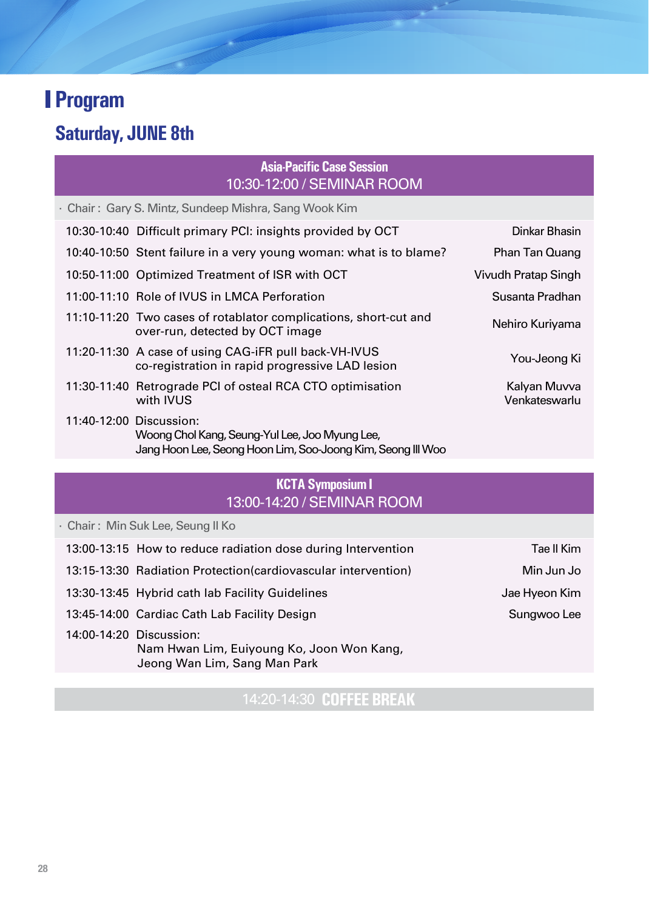## **Saturday, JUNE 8th**

### **Asia-Pacific Case Session** 10:30-12:00 / SEMINAR ROOM

· Chair : Gary S. Mintz, Sundeep Mishra, Sang Wook Kim 10:30-10:40 Difficult primary PCI: insights provided by OCT Dinkar Bhasin

| Phan Tan Quang                | 10:40-10:50 Stent failure in a very young woman: what is to blame?                                                                       |  |
|-------------------------------|------------------------------------------------------------------------------------------------------------------------------------------|--|
| Vivudh Pratap Singh           | 10:50-11:00 Optimized Treatment of ISR with OCT                                                                                          |  |
| Susanta Pradhan               | 11:00-11:10 Role of IVUS in LMCA Perforation                                                                                             |  |
| Nehiro Kuriyama               | 11:10-11:20 Two cases of rotablator complications, short-cut and<br>over-run, detected by OCT image                                      |  |
| You-Jeong Ki                  | 11:20-11:30 A case of using CAG-iFR pull back-VH-IVUS<br>co-registration in rapid progressive LAD lesion                                 |  |
| Kalyan Muvya<br>Venkateswarlu | 11:30-11:40 Retrograde PCI of osteal RCA CTO optimisation<br>with IVUS                                                                   |  |
|                               | 11:40-12:00 Discussion:<br>Woong Chol Kang, Seung-Yul Lee, Joo Myung Lee,<br>Jang Hoon Lee, Seong Hoon Lim, Soo-Joong Kim, Seong III Woo |  |

### **KCTA Symposium I** 13:00-14:20 / SEMINAR ROOM

· Chair : Min Suk Lee, Seung Il Ko

| 13:00-13:15 How to reduce radiation dose during Intervention                                         | Tae II Kim    |
|------------------------------------------------------------------------------------------------------|---------------|
| 13:15-13:30 Radiation Protection (cardiovascular intervention)                                       | Min Jun Jo    |
| 13:30-13:45 Hybrid cath lab Facility Guidelines                                                      | Jae Hyeon Kim |
| 13:45-14:00 Cardiac Cath Lab Facility Design                                                         | Sungwoo Lee   |
| 14:00-14:20 Discussion:<br>Nam Hwan Lim, Euiyoung Ko, Joon Won Kang,<br>Jeong Wan Lim, Sang Man Park |               |

14:20-14:30 **COFFEE BREAK**